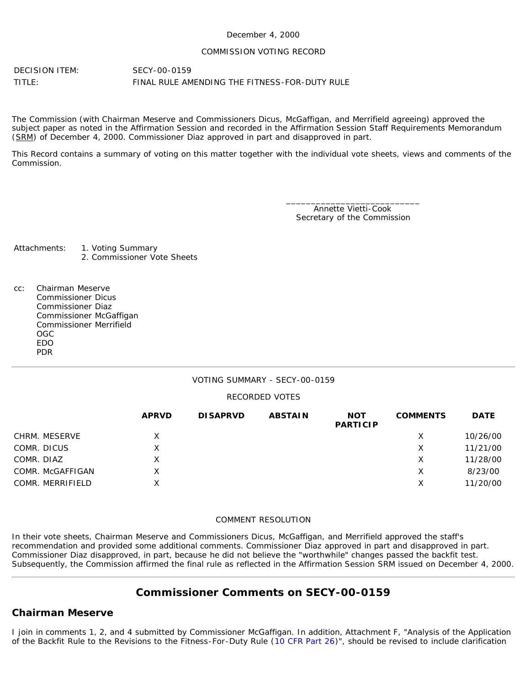#### December 4, 2000

#### COMMISSION VOTING RECORD

DECISION ITEM: SECY-00-0159 TITLE: FINAL RULE AMENDING THE FITNESS-FOR-DUTY RULE

The Commission (with Chairman Meserve and Commissioners Dicus, McGaffigan, and Merrifield agreeing) approved the subject paper as noted in the Affirmation Session and recorded in the Affirmation Session Staff Requirements Memorandum (SRM) of December 4, 2000. Commissioner Diaz approved in part and disapproved in part.

This Record contains a summary of voting on this matter together with the individual vote sheets, views and comments of the Commission.

> \_\_\_\_\_\_\_\_\_\_\_\_\_\_\_\_\_\_\_\_\_\_\_\_\_\_\_ Annette Vietti-Cook Secretary of the Commission

Attachments: 1. Voting Summary 2. Commissioner Vote Sheets

cc: Chairman Meserve Commissioner Dicus Commissioner Diaz Commissioner McGaffigan Commissioner Merrifield OGC EDO PDR

#### VOTING SUMMARY - SECY-00-0159

#### RECORDED VOTES

|                  | <b>APRVD</b> | <b>DISAPRVD</b> | <b>ABSTAIN</b> | <b>NOT</b><br><b>PARTICIP</b> | <b>COMMENTS</b> | <b>DATE</b> |
|------------------|--------------|-----------------|----------------|-------------------------------|-----------------|-------------|
| CHRM. MESERVE    | X.           |                 |                |                               | X               | 10/26/00    |
| COMR. DICUS      | x            |                 |                |                               | X               | 11/21/00    |
| COMR. DIAZ       | Χ            |                 |                |                               | X               | 11/28/00    |
| COMR. McGAFFIGAN | X            |                 |                |                               | X               | 8/23/00     |
| COMR. MERRIFIELD | x            |                 |                |                               | х               | 11/20/00    |

#### COMMENT RESOLUTION

In their vote sheets, Chairman Meserve and Commissioners Dicus, McGaffigan, and Merrifield approved the staff's recommendation and provided some additional comments. Commissioner Diaz approved in part and disapproved in part. Commissioner Diaz disapproved, in part, because he did not believe the "worthwhile" changes passed the backfit test. Subsequently, the Commission affirmed the final rule as reflected in the Affirmation Session SRM issued on December 4, 2000.

# **Commissioner Comments on SECY-00-0159**

### **Chairman Meserve**

I join in comments 1, 2, and 4 submitted by Commissioner McGaffigan. In addition, Attachment F, "Analysis of the Application of the Backfit Rule to the Revisions to the Fitness-For-Duty Rule ([10 CFR Part 26\)](http://www.nrc.gov/reading-rm/doc-collections/cfr/part026/index.html)", should be revised to include clarification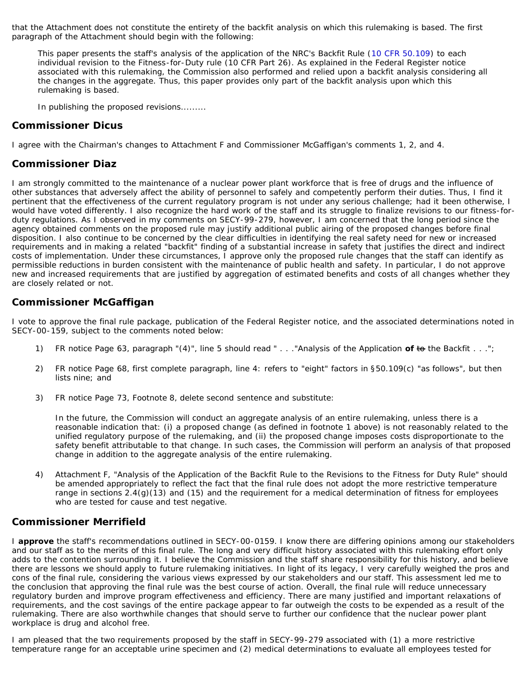that the Attachment does not constitute the entirety of the backfit analysis on which this rulemaking is based. The first paragraph of the Attachment should begin with the following:

*This paper presents the staff's analysis of the application of the NRC's Backfit Rule ([10 CFR 50.109](http://www.nrc.gov/reading-rm/doc-collections/cfr/part050/part050-0109.html)) to each individual revision to the Fitness-for-Duty rule (10 CFR Part 26). As explained in the Federal Register notice associated with this rulemaking, the Commission also performed and relied upon a backfit analysis considering all the changes in the aggregate. Thus, this paper provides only part of the backfit analysis upon which this rulemaking is based.*

*In publishing the proposed revisions.........*

### **Commissioner Dicus**

I agree with the Chairman's changes to Attachment F and Commissioner McGaffigan's comments 1, 2, and 4.

## **Commissioner Diaz**

I am strongly committed to the maintenance of a nuclear power plant workforce that is free of drugs and the influence of other substances that adversely affect the ability of personnel to safely and competently perform their duties. Thus, I find it pertinent that the effectiveness of the current regulatory program is not under any serious challenge; had it been otherwise, I would have voted differently. I also recognize the hard work of the staff and its struggle to finalize revisions to our fitness-forduty regulations. As I observed in my comments on SECY-99-279, however, I am concerned that the long period since the agency obtained comments on the proposed rule may justify additional public airing of the proposed changes before final disposition. I also continue to be concerned by the clear difficulties in identifying the real safety need for new or increased requirements and in making a related "backfit" finding of a substantial increase in safety that justifies the direct and indirect costs of implementation. Under these circumstances, I approve only the proposed rule changes that the staff can identify as permissible reductions in burden consistent with the maintenance of public health and safety. In particular, I do not approve new and increased requirements that are justified by aggregation of estimated benefits and costs of all changes whether they are closely related or not.

# **Commissioner McGaffigan**

I vote to approve the final rule package, publication of the Federal Register notice, and the associated determinations noted in SECY-00-159, subject to the comments noted below:

- 1) FR notice Page 63, paragraph "(4)", line 5 should read " . . ."Analysis of the Application **of** to the Backfit . . .";
- 2) FR notice Page 68, first complete paragraph, line 4: refers to "eight" factors in §50.109(c) "as follows", but then lists nine; and
- 3) FR notice Page 73, Footnote 8, delete second sentence and substitute:

In the future, the Commission will conduct an aggregate analysis of an entire rulemaking, unless there is a reasonable indication that: (i) a proposed change (as defined in footnote 1 above) is not reasonably related to the unified regulatory purpose of the rulemaking, and (ii) the proposed change imposes costs disproportionate to the safety benefit attributable to that change. In such cases, the Commission will perform an analysis of that proposed change in addition to the aggregate analysis of the entire rulemaking.

4) Attachment F, "Analysis of the Application of the Backfit Rule to the Revisions to the Fitness for Duty Rule" should be amended appropriately to reflect the fact that the final rule does not adopt the more restrictive temperature range in sections 2.4(g)(13) and (15) and the requirement for a medical determination of fitness for employees who are tested for cause and test negative.

### **Commissioner Merrifield**

I **approve** the staff's recommendations outlined in SECY-00-0159. I know there are differing opinions among our stakeholders and our staff as to the merits of this final rule. The long and very difficult history associated with this rulemaking effort only adds to the contention surrounding it. I believe the Commission and the staff share responsibility for this history, and believe there are lessons we should apply to future rulemaking initiatives. In light of its legacy, I very carefully weighed the pros and cons of the final rule, considering the various views expressed by our stakeholders and our staff. This assessment led me to the conclusion that approving the final rule was the best course of action. Overall, the final rule will reduce unnecessary regulatory burden and improve program effectiveness and efficiency. There are many justified and important relaxations of requirements, and the cost savings of the entire package appear to far outweigh the costs to be expended as a result of the rulemaking. There are also worthwhile changes that should serve to further our confidence that the nuclear power plant workplace is drug and alcohol free.

I am pleased that the two requirements proposed by the staff in SECY-99-279 associated with (1) a more restrictive temperature range for an acceptable urine specimen and (2) medical determinations to evaluate all employees tested for